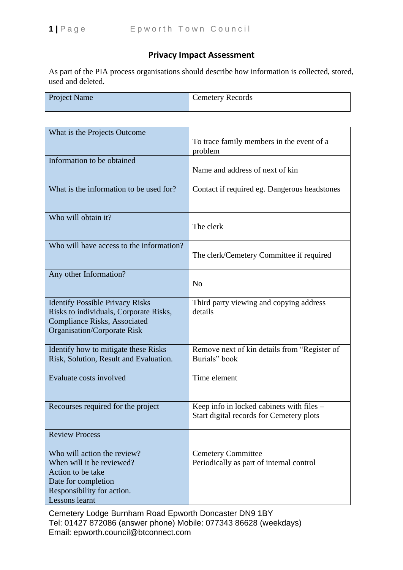# **Privacy Impact Assessment**

As part of the PIA process organisations should describe how information is collected, stored, used and deleted.

| <b>Project Name</b> | Cemetery Records |
|---------------------|------------------|
|                     |                  |

| What is the Projects Outcome                                                                                                                                  | To trace family members in the event of a                                             |
|---------------------------------------------------------------------------------------------------------------------------------------------------------------|---------------------------------------------------------------------------------------|
|                                                                                                                                                               | problem                                                                               |
| Information to be obtained                                                                                                                                    | Name and address of next of kin                                                       |
| What is the information to be used for?                                                                                                                       | Contact if required eg. Dangerous headstones                                          |
| Who will obtain it?                                                                                                                                           | The clerk                                                                             |
| Who will have access to the information?                                                                                                                      | The clerk/Cemetery Committee if required                                              |
| Any other Information?                                                                                                                                        | N <sub>o</sub>                                                                        |
| <b>Identify Possible Privacy Risks</b><br>Risks to individuals, Corporate Risks,<br><b>Compliance Risks, Associated</b><br><b>Organisation/Corporate Risk</b> | Third party viewing and copying address<br>details                                    |
| Identify how to mitigate these Risks<br>Risk, Solution, Result and Evaluation.                                                                                | Remove next of kin details from "Register of<br>Burials" book                         |
| Evaluate costs involved                                                                                                                                       | Time element                                                                          |
| Recourses required for the project                                                                                                                            | Keep info in locked cabinets with files –<br>Start digital records for Cemetery plots |
| <b>Review Process</b>                                                                                                                                         |                                                                                       |
| Who will action the review?<br>When will it be reviewed?<br>Action to be take<br>Date for completion<br>Responsibility for action.<br>Lessons learnt          | <b>Cemetery Committee</b><br>Periodically as part of internal control                 |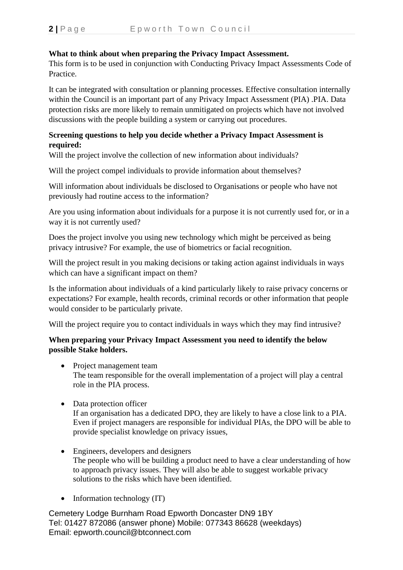# **What to think about when preparing the Privacy Impact Assessment.**

This form is to be used in conjunction with Conducting Privacy Impact Assessments Code of Practice.

It can be integrated with consultation or planning processes. Effective consultation internally within the Council is an important part of any Privacy Impact Assessment (PIA) .PIA. Data protection risks are more likely to remain unmitigated on projects which have not involved discussions with the people building a system or carrying out procedures.

#### **Screening questions to help you decide whether a Privacy Impact Assessment is required:**

Will the project involve the collection of new information about individuals?

Will the project compel individuals to provide information about themselves?

Will information about individuals be disclosed to Organisations or people who have not previously had routine access to the information?

Are you using information about individuals for a purpose it is not currently used for, or in a way it is not currently used?

Does the project involve you using new technology which might be perceived as being privacy intrusive? For example, the use of biometrics or facial recognition.

Will the project result in you making decisions or taking action against individuals in ways which can have a significant impact on them?

Is the information about individuals of a kind particularly likely to raise privacy concerns or expectations? For example, health records, criminal records or other information that people would consider to be particularly private.

Will the project require you to contact individuals in ways which they may find intrusive?

# **When preparing your Privacy Impact Assessment you need to identify the below possible Stake holders.**

- Project management team The team responsible for the overall implementation of a project will play a central role in the PIA process.
- Data protection officer If an organisation has a dedicated DPO, they are likely to have a close link to a PIA. Even if project managers are responsible for individual PIAs, the DPO will be able to provide specialist knowledge on privacy issues,
- Engineers, developers and designers The people who will be building a product need to have a clear understanding of how to approach privacy issues. They will also be able to suggest workable privacy solutions to the risks which have been identified.
- Information technology (IT)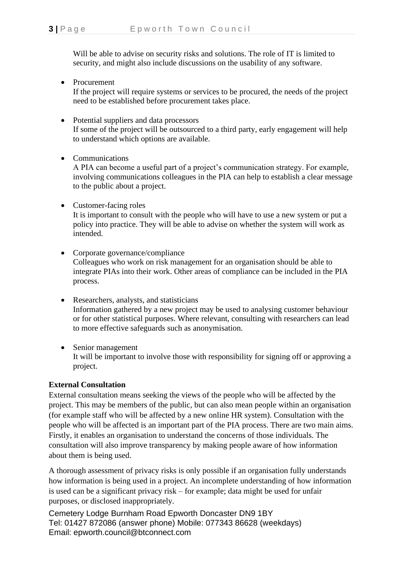Will be able to advise on security risks and solutions. The role of IT is limited to security, and might also include discussions on the usability of any software.

• Procurement

If the project will require systems or services to be procured, the needs of the project need to be established before procurement takes place.

- Potential suppliers and data processors If some of the project will be outsourced to a third party, early engagement will help to understand which options are available.
- Communications

A PIA can become a useful part of a project's communication strategy. For example, involving communications colleagues in the PIA can help to establish a clear message to the public about a project.

• Customer-facing roles

It is important to consult with the people who will have to use a new system or put a policy into practice. They will be able to advise on whether the system will work as intended.

- Corporate governance/compliance Colleagues who work on risk management for an organisation should be able to integrate PIAs into their work. Other areas of compliance can be included in the PIA process.
- Researchers, analysts, and statisticians Information gathered by a new project may be used to analysing customer behaviour or for other statistical purposes. Where relevant, consulting with researchers can lead to more effective safeguards such as anonymisation.
- Senior management It will be important to involve those with responsibility for signing off or approving a project.

## **External Consultation**

External consultation means seeking the views of the people who will be affected by the project. This may be members of the public, but can also mean people within an organisation (for example staff who will be affected by a new online HR system). Consultation with the people who will be affected is an important part of the PIA process. There are two main aims. Firstly, it enables an organisation to understand the concerns of those individuals. The consultation will also improve transparency by making people aware of how information about them is being used.

A thorough assessment of privacy risks is only possible if an organisation fully understands how information is being used in a project. An incomplete understanding of how information is used can be a significant privacy risk – for example; data might be used for unfair purposes, or disclosed inappropriately.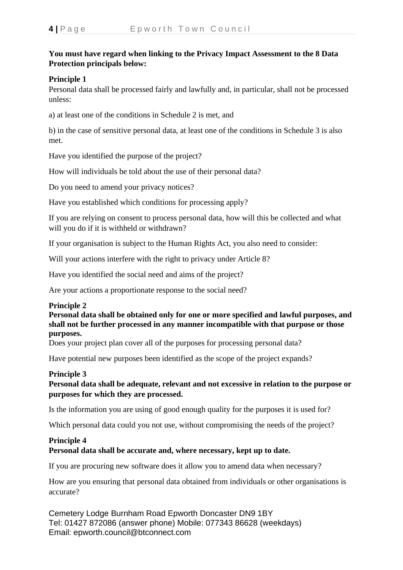# **You must have regard when linking to the Privacy Impact Assessment to the 8 Data Protection principals below:**

## **Principle 1**

Personal data shall be processed fairly and lawfully and, in particular, shall not be processed unless:

a) at least one of the conditions in Schedule 2 is met, and

b) in the case of sensitive personal data, at least one of the conditions in Schedule 3 is also met.

Have you identified the purpose of the project?

How will individuals be told about the use of their personal data?

Do you need to amend your privacy notices?

Have you established which conditions for processing apply?

If you are relying on consent to process personal data, how will this be collected and what will you do if it is withheld or withdrawn?

If your organisation is subject to the Human Rights Act, you also need to consider:

Will your actions interfere with the right to privacy under Article 8?

Have you identified the social need and aims of the project?

Are your actions a proportionate response to the social need?

#### **Principle 2**

**Personal data shall be obtained only for one or more specified and lawful purposes, and shall not be further processed in any manner incompatible with that purpose or those purposes.**

Does your project plan cover all of the purposes for processing personal data?

Have potential new purposes been identified as the scope of the project expands?

## **Principle 3**

# **Personal data shall be adequate, relevant and not excessive in relation to the purpose or purposes for which they are processed.**

Is the information you are using of good enough quality for the purposes it is used for?

Which personal data could you not use, without compromising the needs of the project?

#### **Principle 4 Personal data shall be accurate and, where necessary, kept up to date.**

If you are procuring new software does it allow you to amend data when necessary?

How are you ensuring that personal data obtained from individuals or other organisations is accurate?